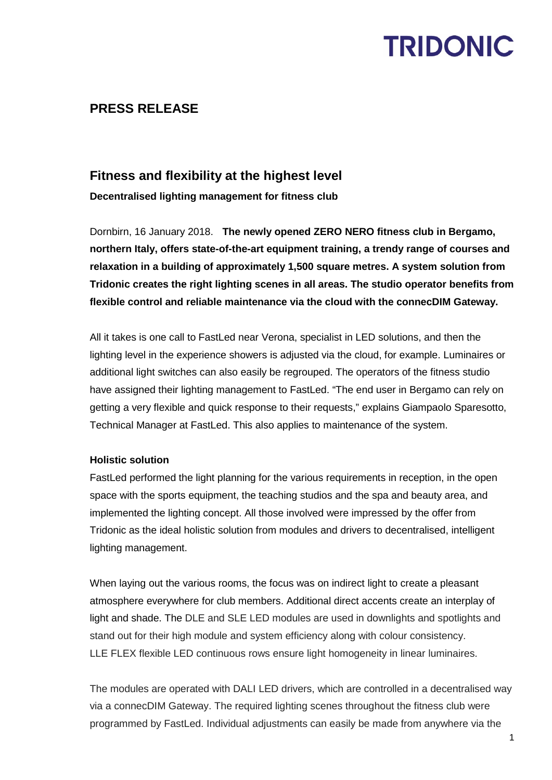## **TRIDONIC**

## **PRESS RELEASE**

### **Fitness and flexibility at the highest level**

**Decentralised lighting management for fitness club**

Dornbirn, 16 January 2018. **The newly opened ZERO NERO fitness club in Bergamo, northern Italy, offers state-of-the-art equipment training, a trendy range of courses and relaxation in a building of approximately 1,500 square metres. A system solution from Tridonic creates the right lighting scenes in all areas. The studio operator benefits from flexible control and reliable maintenance via the cloud with the connecDIM Gateway.** 

All it takes is one call to FastLed near Verona, specialist in LED solutions, and then the lighting level in the experience showers is adjusted via the cloud, for example. Luminaires or additional light switches can also easily be regrouped. The operators of the fitness studio have assigned their lighting management to FastLed. "The end user in Bergamo can rely on getting a very flexible and quick response to their requests," explains Giampaolo Sparesotto, Technical Manager at FastLed. This also applies to maintenance of the system.

### **Holistic solution**

FastLed performed the light planning for the various requirements in reception, in the open space with the sports equipment, the teaching studios and the spa and beauty area, and implemented the lighting concept. All those involved were impressed by the offer from Tridonic as the ideal holistic solution from modules and drivers to decentralised, intelligent lighting management.

When laying out the various rooms, the focus was on indirect light to create a pleasant atmosphere everywhere for club members. Additional direct accents create an interplay of light and shade. The DLE and SLE LED modules are used in downlights and spotlights and stand out for their high module and system efficiency along with colour consistency. LLE FLEX flexible LED continuous rows ensure light homogeneity in linear luminaires.

The modules are operated with DALI LED drivers, which are controlled in a decentralised way via a connecDIM Gateway. The required lighting scenes throughout the fitness club were programmed by FastLed. Individual adjustments can easily be made from anywhere via the